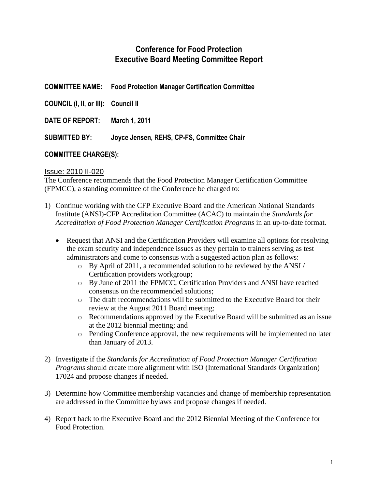# **Conference for Food Protection Executive Board Meeting Committee Report**

| <b>COMMITTEE NAME:</b>              | <b>Food Protection Manager Certification Committee</b> |
|-------------------------------------|--------------------------------------------------------|
| COUNCIL (I, II, or III): Council II |                                                        |
| DATE OF REPORT:                     | March 1, 2011                                          |
| SUBMITTED BY:                       | Joyce Jensen, REHS, CP-FS, Committee Chair             |
|                                     |                                                        |

# **COMMITTEE CHARGE(S):**

## Issue: 2010 II-020

The Conference recommends that the Food Protection Manager Certification Committee (FPMCC), a standing committee of the Conference be charged to:

- 1) Continue working with the CFP Executive Board and the American National Standards Institute (ANSI)-CFP Accreditation Committee (ACAC) to maintain the *Standards for Accreditation of Food Protection Manager Certification Programs* in an up-to-date format.
	- Request that ANSI and the Certification Providers will examine all options for resolving the exam security and independence issues as they pertain to trainers serving as test administrators and come to consensus with a suggested action plan as follows:
		- o By April of 2011, a recommended solution to be reviewed by the ANSI / Certification providers workgroup;
		- o By June of 2011 the FPMCC, Certification Providers and ANSI have reached consensus on the recommended solutions;
		- o The draft recommendations will be submitted to the Executive Board for their review at the August 2011 Board meeting;
		- o Recommendations approved by the Executive Board will be submitted as an issue at the 2012 biennial meeting; and
		- o Pending Conference approval, the new requirements will be implemented no later than January of 2013.
- 2) Investigate if the *Standards for Accreditation of Food Protection Manager Certification Programs* should create more alignment with ISO (International Standards Organization) 17024 and propose changes if needed.
- 3) Determine how Committee membership vacancies and change of membership representation are addressed in the Committee bylaws and propose changes if needed.
- 4) Report back to the Executive Board and the 2012 Biennial Meeting of the Conference for Food Protection.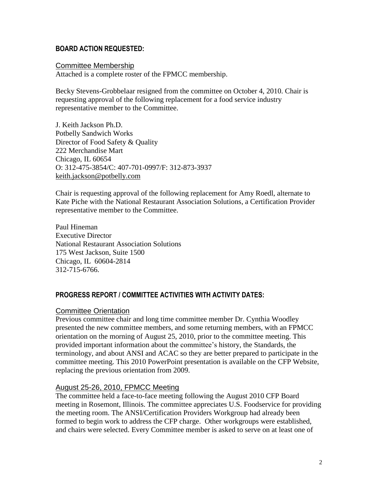#### **BOARD ACTION REQUESTED:**

#### Committee Membership

Attached is a complete roster of the FPMCC membership.

Becky Stevens-Grobbelaar resigned from the committee on October 4, 2010. Chair is requesting approval of the following replacement for a food service industry representative member to the Committee.

J. Keith Jackson Ph.D. Potbelly Sandwich Works Director of Food Safety & Quality 222 Merchandise Mart Chicago, IL 60654 O: 312-475-3854/C: 407-701-0997/F: 312-873-3937 [keith.jackson@potbelly.com](mailto:keith.jackson@potbelly.com)

Chair is requesting approval of the following replacement for Amy Roedl, alternate to Kate Piche with the National Restaurant Association Solutions, a Certification Provider representative member to the Committee.

Paul Hineman Executive Director National Restaurant Association Solutions 175 West Jackson, Suite 1500 Chicago, IL 60604-2814 312-715-6766.

## **PROGRESS REPORT / COMMITTEE ACTIVITIES WITH ACTIVITY DATES:**

#### Committee Orientation

Previous committee chair and long time committee member Dr. Cynthia Woodley presented the new committee members, and some returning members, with an FPMCC orientation on the morning of August 25, 2010, prior to the committee meeting. This provided important information about the committee's history, the Standards, the terminology, and about ANSI and ACAC so they are better prepared to participate in the committee meeting. This 2010 PowerPoint presentation is available on the CFP Website, replacing the previous orientation from 2009.

## August 25-26, 2010, FPMCC Meeting

The committee held a face-to-face meeting following the August 2010 CFP Board meeting in Rosemont, Illinois. The committee appreciates U.S. Foodservice for providing the meeting room. The ANSI/Certification Providers Workgroup had already been formed to begin work to address the CFP charge. Other workgroups were established, and chairs were selected. Every Committee member is asked to serve on at least one of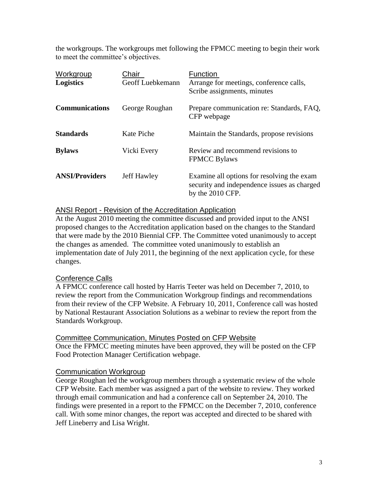the workgroups. The workgroups met following the FPMCC meeting to begin their work to meet the committee's objectives.

| <b>Workgroup</b><br><b>Logistics</b> | Chair<br>Geoff Luebkemann | Function<br>Arrange for meetings, conference calls,<br>Scribe assignments, minutes                            |
|--------------------------------------|---------------------------|---------------------------------------------------------------------------------------------------------------|
| <b>Communications</b>                | George Roughan            | Prepare communication re: Standards, FAQ,<br>CFP webpage                                                      |
| <b>Standards</b>                     | Kate Piche                | Maintain the Standards, propose revisions                                                                     |
| <b>Bylaws</b>                        | Vicki Every               | Review and recommend revisions to<br><b>FPMCC Bylaws</b>                                                      |
| <b>ANSI/Providers</b>                | Jeff Hawley               | Examine all options for resolving the exam<br>security and independence issues as charged<br>by the 2010 CFP. |

## ANSI Report - Revision of the Accreditation Application

At the August 2010 meeting the committee discussed and provided input to the ANSI proposed changes to the Accreditation application based on the changes to the Standard that were made by the 2010 Biennial CFP. The Committee voted unanimously to accept the changes as amended. The committee voted unanimously to establish an implementation date of July 2011, the beginning of the next application cycle, for these changes.

## Conference Calls

A FPMCC conference call hosted by Harris Teeter was held on December 7, 2010, to review the report from the Communication Workgroup findings and recommendations from their review of the CFP Website. A February 10, 2011, Conference call was hosted by National Restaurant Association Solutions as a webinar to review the report from the Standards Workgroup.

## Committee Communication, Minutes Posted on CFP Website

Once the FPMCC meeting minutes have been approved, they will be posted on the CFP Food Protection Manager Certification webpage.

## Communication Workgroup

George Roughan led the workgroup members through a systematic review of the whole CFP Website. Each member was assigned a part of the website to review. They worked through email communication and had a conference call on September 24, 2010. The findings were presented in a report to the FPMCC on the December 7, 2010, conference call. With some minor changes, the report was accepted and directed to be shared with Jeff Lineberry and Lisa Wright.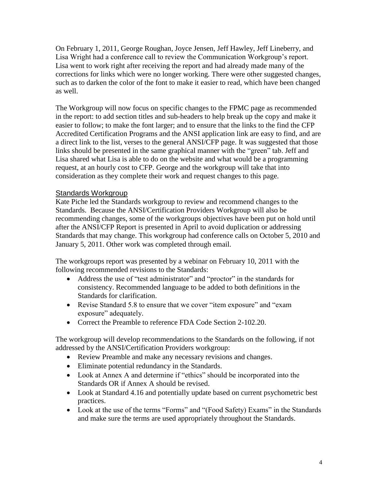On February 1, 2011, George Roughan, Joyce Jensen, Jeff Hawley, Jeff Lineberry, and Lisa Wright had a conference call to review the Communication Workgroup's report. Lisa went to work right after receiving the report and had already made many of the corrections for links which were no longer working. There were other suggested changes, such as to darken the color of the font to make it easier to read, which have been changed as well.

The Workgroup will now focus on specific changes to the FPMC page as recommended in the report: to add section titles and sub-headers to help break up the copy and make it easier to follow; to make the font larger; and to ensure that the links to the find the CFP Accredited Certification Programs and the ANSI application link are easy to find, and are a direct link to the list, verses to the general ANSI/CFP page. It was suggested that those links should be presented in the same graphical manner with the "green" tab. Jeff and Lisa shared what Lisa is able to do on the website and what would be a programming request, at an hourly cost to CFP. George and the workgroup will take that into consideration as they complete their work and request changes to this page.

#### Standards Workgroup

Kate Piche led the Standards workgroup to review and recommend changes to the Standards. Because the ANSI/Certification Providers Workgroup will also be recommending changes, some of the workgroups objectives have been put on hold until after the ANSI/CFP Report is presented in April to avoid duplication or addressing Standards that may change. This workgroup had conference calls on October 5, 2010 and January 5, 2011. Other work was completed through email.

The workgroups report was presented by a webinar on February 10, 2011 with the following recommended revisions to the Standards:

- Address the use of "test administrator" and "proctor" in the standards for consistency. Recommended language to be added to both definitions in the Standards for clarification.
- Revise Standard 5.8 to ensure that we cover "item exposure" and "exam exposure" adequately.
- Correct the Preamble to reference FDA Code Section 2-102.20.

The workgroup will develop recommendations to the Standards on the following, if not addressed by the ANSI/Certification Providers workgroup:

- Review Preamble and make any necessary revisions and changes.
- Eliminate potential redundancy in the Standards.
- Look at Annex A and determine if "ethics" should be incorporated into the Standards OR if Annex A should be revised.
- Look at Standard 4.16 and potentially update based on current psychometric best practices.
- Look at the use of the terms "Forms" and "(Food Safety) Exams" in the Standards and make sure the terms are used appropriately throughout the Standards.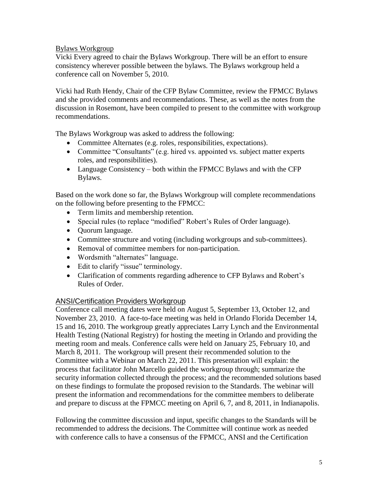## Bylaws Workgroup

Vicki Every agreed to chair the Bylaws Workgroup. There will be an effort to ensure consistency wherever possible between the bylaws. The Bylaws workgroup held a conference call on November 5, 2010.

Vicki had Ruth Hendy, Chair of the CFP Bylaw Committee, review the FPMCC Bylaws and she provided comments and recommendations. These, as well as the notes from the discussion in Rosemont, have been compiled to present to the committee with workgroup recommendations.

The Bylaws Workgroup was asked to address the following:

- Committee Alternates (e.g. roles, responsibilities, expectations).
- Committee "Consultants" (e.g. hired vs. appointed vs. subject matter experts roles, and responsibilities).
- Language Consistency both within the FPMCC Bylaws and with the CFP Bylaws.

Based on the work done so far, the Bylaws Workgroup will complete recommendations on the following before presenting to the FPMCC:

- Term limits and membership retention.
- Special rules (to replace "modified" Robert's Rules of Order language).
- Ouorum language.
- Committee structure and voting (including workgroups and sub-committees).
- Removal of committee members for non-participation.
- Wordsmith "alternates" language.
- Edit to clarify "issue" terminology.
- Clarification of comments regarding adherence to CFP Bylaws and Robert's Rules of Order.

## ANSI/Certification Providers Workgroup

Conference call meeting dates were held on August 5, September 13, October 12, and November 23, 2010. A face-to-face meeting was held in Orlando Florida December 14, 15 and 16, 2010. The workgroup greatly appreciates Larry Lynch and the Environmental Health Testing (National Registry) for hosting the meeting in Orlando and providing the meeting room and meals. Conference calls were held on January 25, February 10, and March 8, 2011. The workgroup will present their recommended solution to the Committee with a Webinar on March 22, 2011. This presentation will explain: the process that facilitator John Marcello guided the workgroup through; summarize the security information collected through the process; and the recommended solutions based on these findings to formulate the proposed revision to the Standards. The webinar will present the information and recommendations for the committee members to deliberate and prepare to discuss at the FPMCC meeting on April 6, 7, and 8, 2011, in Indianapolis.

Following the committee discussion and input, specific changes to the Standards will be recommended to address the decisions. The Committee will continue work as needed with conference calls to have a consensus of the FPMCC, ANSI and the Certification